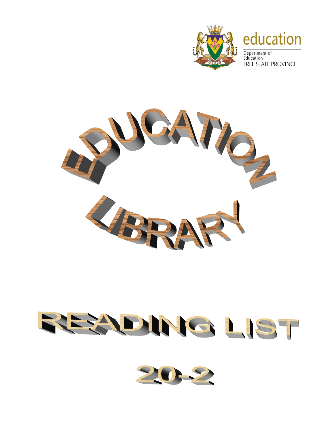

## education

Department of Education **FREE STATE PROVINCE** 



## REZONIG LIST

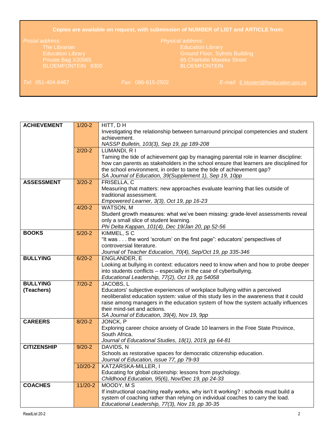## **Copies are available on request, with submission of NUMBER of LIST and ARTICLE from:**

Education Library Ground Floor, Syfrets Building

*Tel*: 051-404-8467 *Fax*: 086-615-2502 *E-mail*: [E.Mostert@fseducation.gov.za](mailto:E.Mostert@fseducation.gov.za)

| <b>ACHIEVEMENT</b> | $1/20-2$   | HITT, DH                                                                                                                                                              |
|--------------------|------------|-----------------------------------------------------------------------------------------------------------------------------------------------------------------------|
|                    |            | Investigating the relationship between turnaround principal competencies and student                                                                                  |
|                    |            | achievement.                                                                                                                                                          |
|                    |            | NASSP Bulletin, 103(3), Sep 19, pp 189-208                                                                                                                            |
|                    | $2/20-2$   | LUMANDI, R I                                                                                                                                                          |
|                    |            | Taming the tide of achievement gap by managing parental role in learner discipline:                                                                                   |
|                    |            | how can parents as stakeholders in the school ensure that learners are disciplined for                                                                                |
|                    |            | the school environment, in order to tame the tide of achievement gap?                                                                                                 |
|                    |            | SA Journal of Education, 39 (Supplement 1), Sep 19, 10pp                                                                                                              |
| <b>ASSESSMENT</b>  | $3/20 - 2$ | FRISELLA, C                                                                                                                                                           |
|                    |            | Measuring that matters: new approaches evaluate learning that lies outside of                                                                                         |
|                    |            | traditional assessment.                                                                                                                                               |
|                    |            | Empowered Learner, 3(3), Oct 19, pp 16-23                                                                                                                             |
|                    | $4/20 - 2$ | WATSON, M                                                                                                                                                             |
|                    |            | Student growth measures: what we've been missing: grade-level assessments reveal                                                                                      |
|                    |            | only a small slice of student learning.                                                                                                                               |
|                    |            | Phi Delta Kappan, 101(4), Dec 19/Jan 20, pp 52-56                                                                                                                     |
| <b>BOOKS</b>       | $5/20-2$   | KIMMEL, SC                                                                                                                                                            |
|                    |            | "It was the word 'scrotum' on the first page": educators' perspectives of                                                                                             |
|                    |            | controversial literature.                                                                                                                                             |
|                    |            | Journal of Teacher Education, 70(4), Sep/Oct 19, pp 335-346                                                                                                           |
| <b>BULLYING</b>    | $6/20-2$   | <b>ENGLANDER, E</b>                                                                                                                                                   |
|                    |            | Looking at bullying in context: educators need to know when and how to probe deeper                                                                                   |
|                    |            | into students conflicts – especially in the case of cyberbullying.                                                                                                    |
|                    |            | Educational Leadership, 77(2), Oct 19, pp 54058                                                                                                                       |
| <b>BULLYING</b>    | $7/20-2$   | JACOBS, L                                                                                                                                                             |
| (Teachers)         |            | Educators' subjective experiences of workplace bullying within a perceived<br>neoliberalist education system: value of this study lies in the awareness that it could |
|                    |            | raise among managers in the education system of how the system actually influences                                                                                    |
|                    |            | their mind-set and actions.                                                                                                                                           |
|                    |            | SA Journal of Education, 39(4), Nov 19, 9pp                                                                                                                           |
| <b>CAREERS</b>     | $8/20 - 2$ | JONCK, P                                                                                                                                                              |
|                    |            | Exploring career choice anxiety of Grade 10 learners in the Free State Province,                                                                                      |
|                    |            | South Africa.                                                                                                                                                         |
|                    |            | Journal of Educational Studies, 18(1), 2019, pp 64-81                                                                                                                 |
| <b>CITIZENSHIP</b> | $9/20 - 2$ | DAVIDS, N                                                                                                                                                             |
|                    |            | Schools as restorative spaces for democratic citizenship education.                                                                                                   |
|                    |            | Journal of Education, issue 77, pp 79-93                                                                                                                              |
|                    | $10/20-2$  | KATZARSKA-MILLER, I                                                                                                                                                   |
|                    |            | Educating for global citizenship: lessons from psychology.                                                                                                            |
|                    |            | Childhood Education, 95(6), Nov/Dec 19, pp 24-33                                                                                                                      |
| <b>COACHES</b>     | $11/20-2$  | MOODY, M S                                                                                                                                                            |
|                    |            | If instructional coaching really works, why isn't it working? : schools must build a                                                                                  |
|                    |            | system of coaching rather than relying on individual coaches to carry the load.                                                                                       |
|                    |            | Educational Leadership, 77(3), Nov 19, pp 30-35                                                                                                                       |
|                    |            |                                                                                                                                                                       |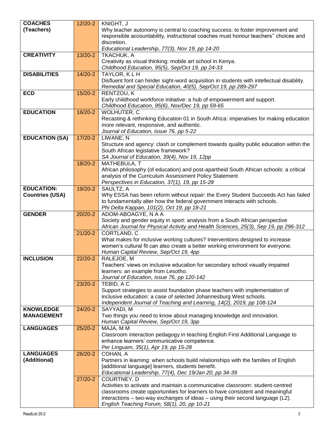| <b>COACHES</b>         | $12/20 - 2$ | KNIGHT, J                                                                                                                                                             |
|------------------------|-------------|-----------------------------------------------------------------------------------------------------------------------------------------------------------------------|
| (Teachers)             |             | Why teacher autonomy is central to coaching success: to foster improvement and                                                                                        |
|                        |             | responsible accountability, instructional coaches must honour teachers" choices and                                                                                   |
|                        |             | discretion.                                                                                                                                                           |
|                        |             | Educational Leadership, 77(3), Nov 19, pp 14-20                                                                                                                       |
| <b>CREATIVITY</b>      | 13/20-2     | TKACHUK, A                                                                                                                                                            |
|                        |             | Creativity as visual thinking: mobile art school in Kenya.                                                                                                            |
|                        |             | Childhood Education, 95(5), Sep/Oct 19, pp 24-33                                                                                                                      |
| <b>DISABILITIES</b>    | $14/20-2$   | TAYLOR, KLH                                                                                                                                                           |
|                        |             | Disfluent font can hinder sight-word acquisition in students with intellectual disability.                                                                            |
|                        |             | Remedial and Special Education, 40(5), Sep/Oct 19, pp 289-297                                                                                                         |
| <b>ECD</b>             | $15/20-2$   | RENTZOU, K                                                                                                                                                            |
|                        |             | Early childhood workforce initiative: a hub of empowerment and support.                                                                                               |
|                        |             | Childhood Education, 95(6), Nov/Dec 19, pp 59-65                                                                                                                      |
| <b>EDUCATION</b>       | 16/20-2     | WOLHUTER, C                                                                                                                                                           |
|                        |             | Recasting & rethinking Education 01 in South Africa: imperatives for making education                                                                                 |
|                        |             | more relevant, responsive, and authentic.                                                                                                                             |
|                        |             | Journal of Education, issue 76, pp 5-22                                                                                                                               |
| <b>EDUCATION (SA)</b>  | 17/20-2     | LIWANE, N                                                                                                                                                             |
|                        |             | Structure and agency: clash or complement towards quality public education within the                                                                                 |
|                        |             | South African legislative framework?                                                                                                                                  |
|                        |             | SA Journal of Education, 39(4), Nov 19, 12pp                                                                                                                          |
|                        | 18/20-2     | MATHEBULA, T                                                                                                                                                          |
|                        |             | African philosophy (of education) and post-apartheid South African schools: a critical                                                                                |
|                        |             | analysis of the Curriculum Assessment Policy Statement                                                                                                                |
|                        |             | Perspectives in Education, 37(1), 19, pp 15-28                                                                                                                        |
| <b>EDUCATION:</b>      | 19/20-2     | SAULTZ, A                                                                                                                                                             |
| <b>Countries (USA)</b> |             | Why ESSA has been reform without repair: the Every Student Succeeds Act has failed                                                                                    |
|                        |             | to fundamentally alter how the federal government interacts with schools.                                                                                             |
| <b>GENDER</b>          | 20/20-2     | Phi Delta Kappan, 101(2), Oct 19, pp 18-21                                                                                                                            |
|                        |             | ADOM-ABOAGYE, N A A                                                                                                                                                   |
|                        |             | Society and gender equity in sport: analysis from a South African perspective<br>African Journal for Physical Activity and Health Sciences, 25(3), Sep 19, pp 296-312 |
|                        | $21/20-2$   | CORTLAND, C                                                                                                                                                           |
|                        |             | What makes for inclusive working cultures? Interventions designed to increase                                                                                         |
|                        |             | women's cultural fit can also create a better working environment for everyone.                                                                                       |
|                        |             | Human Capital Review, Sep/Oct 19, 4pp                                                                                                                                 |
| <b>INCLUSION</b>       | $22/20-2$   | RALEJOE, M                                                                                                                                                            |
|                        |             | Teachers' views on inclusive education for secondary school visually impaired                                                                                         |
|                        |             | learners: an example from Lesotho.                                                                                                                                    |
|                        |             | Journal of Education, issue 76, pp 120-142                                                                                                                            |
|                        | 23/20-2     | TEBID, A C                                                                                                                                                            |
|                        |             | Support strategies to assist foundation phase teachers with implementation of                                                                                         |
|                        |             | inclusive education: a case of selected Johannesburg West schools.                                                                                                    |
|                        |             | Independent Journal of Teaching and Learning, 14(2), 2019, pp 108-124                                                                                                 |
| <b>KNOWLEDGE</b>       | $24/20-2$   | SAYYADI, M                                                                                                                                                            |
| <b>MANAGEMENT</b>      |             | Two things you need to know about managing knowledge and innovation.                                                                                                  |
|                        |             | Human Capital Review, Sep/Oct 19, 3pp                                                                                                                                 |
| <b>LANGUAGES</b>       | $25/20-2$   | MAJA, M M                                                                                                                                                             |
|                        |             | Classroom interaction pedagogy in teaching English First Additional Language to                                                                                       |
|                        |             | enhance learners' communicative competence.                                                                                                                           |
|                        |             | Per Linguam, 35(1), Apr 19, pp 15-28                                                                                                                                  |
| <b>LANGUAGES</b>       | 26/20-2     | COHAN, A                                                                                                                                                              |
| (Additional)           |             | Partners in learning: when schools build relationships with the families of English                                                                                   |
|                        |             | [additional language] learners, students benefit.                                                                                                                     |
|                        | 27/20-2     | Educational Leadership, 77(4), Dec 19/Jan 20, pp 34-39<br>COURTNEY, D                                                                                                 |
|                        |             | Activities to activate and maintain a communicative classroom: student-centred                                                                                        |
|                        |             | classrooms create opportunities for learners to have consistent and meaningful                                                                                        |
|                        |             | interactions – two-way exchanges of ideas – using their second language (L2).                                                                                         |
|                        |             | English Teaching Forum, 58(1), 20, pp 10-21                                                                                                                           |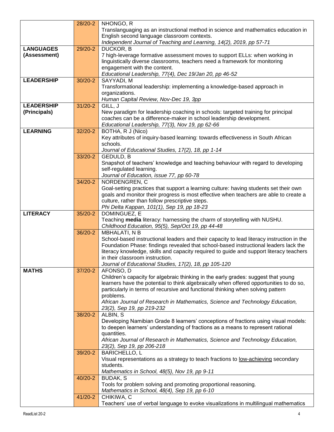|                   | 28/20-2   | NHONGO, R                                                                                 |
|-------------------|-----------|-------------------------------------------------------------------------------------------|
|                   |           | Translanguaging as an instructional method in science and mathematics education in        |
|                   |           | English second language classroom contexts.                                               |
|                   |           | Independent Journal of Teaching and Learning, 14(2), 2019, pp 57-71                       |
| <b>LANGUAGES</b>  | 29/20-2   | DUCKOR, B                                                                                 |
| (Assessment)      |           | 7 high-leverage formative assessment moves to support ELLs: when working in               |
|                   |           | linguistically diverse classrooms, teachers need a framework for monitoring               |
|                   |           | engagement with the content.                                                              |
|                   |           | Educational Leadership, 77(4), Dec 19/Jan 20, pp 46-52                                    |
| <b>LEADERSHIP</b> | $30/20-2$ | SAYYADI, M                                                                                |
|                   |           | Transformational leadership: implementing a knowledge-based approach in                   |
|                   |           | organizations.                                                                            |
|                   |           | Human Capital Review, Nov-Dec 19, 3pp                                                     |
| <b>LEADERSHIP</b> | $31/20-2$ | GILL, J                                                                                   |
| (Principals)      |           | New paradigm for leadership coaching in schools: targeted training for principal          |
|                   |           | coaches can be a difference-maker in school leadership development.                       |
|                   |           | Educational Leadership, 77(3), Nov 19, pp 62-66                                           |
| <b>LEARNING</b>   | 32/20-2   | BOTHA, R J (Nico)                                                                         |
|                   |           | Key attributes of inquiry-based learning: towards effectiveness in South African          |
|                   |           | schools.                                                                                  |
|                   |           | Journal of Educational Studies, 17(2), 18, pp 1-14                                        |
|                   | 33/20-2   | <b>GEDULD, B</b>                                                                          |
|                   |           | Snapshot of teachers' knowledge and teaching behaviour with regard to developing          |
|                   |           | self-regulated learning.                                                                  |
|                   |           | Journal of Education, issue 77, pp 60-78                                                  |
|                   | 34/20-2   | NORDENGREN, C                                                                             |
|                   |           | Goal-setting practices that support a learning culture: having students set their own     |
|                   |           | goals and monitor their progress is most effective when teachers are able to create a     |
|                   |           | culture, rather than follow prescriptive steps.                                           |
|                   |           | Phi Delta Kappan, 101(1), Sep 19, pp 18-23                                                |
| <b>LITERACY</b>   | 35/20-2   | DOMINGUEZ, E                                                                              |
|                   |           | Teaching media literacy: harnessing the charm of storytelling with NUSHU.                 |
|                   |           | Childhood Education, 95(5), Sep/Oct 19, pp 44-48                                          |
|                   | 36/20-2   | <b>MBHALATI, N B</b>                                                                      |
|                   |           | School-based instructional leaders and their capacity to lead literacy instruction in the |
|                   |           | Foundation Phase: findings revealed that school-based instructional leaders lack the      |
|                   |           | literacy knowledge, skills and capacity required to guide and support literacy teachers   |
|                   |           | in their classroom instruction.                                                           |
|                   |           | Journal of Educational Studies, 17(2), 18, pp 105-120                                     |
| <b>MATHS</b>      | 37/20-2   | AFONSO, D                                                                                 |
|                   |           | Children's capacity for algebraic thinking in the early grades: suggest that young        |
|                   |           | learners have the potential to think algebraically when offered opportunities to do so,   |
|                   |           | particularly in terms of recursive and functional thinking when solving pattern           |
|                   |           | problems.                                                                                 |
|                   |           | African Journal of Research in Mathematics, Science and Technology Education,             |
|                   |           | 23(2), Sep 19, pp 219-232                                                                 |
|                   | 38/20-2   | ALBIN, S                                                                                  |
|                   |           | Developing Namibian Grade 8 learners' conceptions of fractions using visual models:       |
|                   |           | to deepen learners' understanding of fractions as a means to represent rational           |
|                   |           | quantities.                                                                               |
|                   |           | African Journal of Research in Mathematics, Science and Technology Education,             |
|                   |           | 23(2), Sep 19, pp 206-218                                                                 |
|                   | 39/20-2   | <b>BARICHELLO, L</b>                                                                      |
|                   |           | Visual representations as a strategy to teach fractions to low-achieving secondary        |
|                   |           | students.                                                                                 |
|                   |           | Mathematics in School, 48(5), Nov 19, pp 9-11                                             |
|                   | 40/20-2   | <b>BUDAK, S</b>                                                                           |
|                   |           | Tools for problem solving and promoting proportional reasoning.                           |
|                   |           | Mathematics in School, 48(4), Sep 19, pp 6-10                                             |
|                   | 41/20-2   | CHIKIWA, C                                                                                |
|                   |           | Teachers' use of verbal language to evoke visualizations in multilingual mathematics      |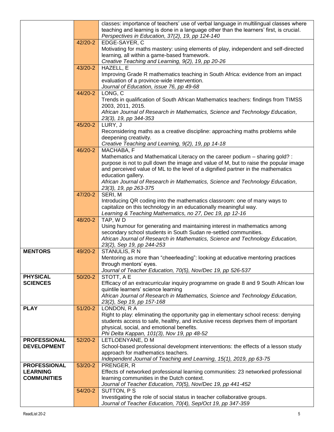|                                       |             | classes: importance of teachers' use of verbal language in multilingual classes where<br>teaching and learning is done in a language other than the learners' first, is crucial.<br>Perspectives in Education, 37(2), 19, pp 124-140 |
|---------------------------------------|-------------|--------------------------------------------------------------------------------------------------------------------------------------------------------------------------------------------------------------------------------------|
|                                       | 42/20-2     | EDGE-SAYER, C                                                                                                                                                                                                                        |
|                                       |             | Motivating for maths mastery: using elements of play, independent and self-directed<br>learning, all within a game-based framework.                                                                                                  |
|                                       |             | Creative Teaching and Learning, 9(2), 19, pp 20-26                                                                                                                                                                                   |
|                                       | 43/20-2     | HAZELL, E<br>Improving Grade R mathematics teaching in South Africa: evidence from an impact                                                                                                                                         |
|                                       |             | evaluation of a province-wide intervention.                                                                                                                                                                                          |
|                                       | 44/20-2     | Journal of Education, issue 76, pp 49-68<br>LONG, C                                                                                                                                                                                  |
|                                       |             | Trends in qualification of South African Mathematics teachers: findings from TIMSS<br>2003, 2011, 2015.                                                                                                                              |
|                                       |             | African Journal of Research in Mathematics, Science and Technology Education,<br>23(3), 19, pp 344-353                                                                                                                               |
|                                       | 45/20-2     | LURY, J                                                                                                                                                                                                                              |
|                                       |             | Reconsidering maths as a creative discipline: approaching maths problems while<br>deepening creativity.                                                                                                                              |
|                                       |             | Creative Teaching and Learning, 9(2), 19, pp 14-18                                                                                                                                                                                   |
|                                       | 46/20-2     | MACHABA, F<br>Mathematics and Mathematical Literacy on the career podium - sharing gold? :                                                                                                                                           |
|                                       |             | purpose is not to pull down the image and value of M, but to raise the popular image                                                                                                                                                 |
|                                       |             | and perceived value of ML to the level of a dignified partner in the mathematics                                                                                                                                                     |
|                                       |             | education gallery.<br>African Journal of Research in Mathematics, Science and Technology Education,                                                                                                                                  |
|                                       |             | 23(3), 19, pp 263-375                                                                                                                                                                                                                |
|                                       | 47/20-2     | SERI, M<br>Introducing QR coding into the mathematics classroom: one of many ways to                                                                                                                                                 |
|                                       |             | capitalize on this technology in an educationally meaningful way.<br>Learning & Teaching Mathematics, no 27, Dec 19, pp 12-16                                                                                                        |
|                                       | 48/20-2     | TAP, WD                                                                                                                                                                                                                              |
|                                       |             | Using humour for generating and maintaining interest in mathematics among<br>secondary school students in South Sudan re-settled communities.                                                                                        |
|                                       |             | African Journal of Research in Mathematics, Science and Technology Education,                                                                                                                                                        |
| <b>MENTORS</b>                        | 49/20-2     | 23(2), Sep 19, pp 244-253<br>STANULIS, RN                                                                                                                                                                                            |
|                                       |             | Mentoring as more than "cheerleading": looking at educative mentoring practices                                                                                                                                                      |
|                                       |             | through mentors′ eyes.                                                                                                                                                                                                               |
| <b>PHYSICAL</b>                       | $50/20 - 2$ | Journal of Teacher Education, 70(5), Nov/Dec 19, pp 526-537<br>STOTT, A E                                                                                                                                                            |
| <b>SCIENCES</b>                       |             | Efficacy of an extracurricular inquiry programme on grade 8 and 9 South African low                                                                                                                                                  |
|                                       |             | quintile learners' science learning<br>African Journal of Research in Mathematics, Science and Technology Education,                                                                                                                 |
|                                       |             | 23(2), Sep 19, pp 157-168                                                                                                                                                                                                            |
| <b>PLAY</b>                           | $51/20-2$   | LONDON, R A<br>Right to play: eliminating the opportunity gap in elementary school recess: denying                                                                                                                                   |
|                                       |             | students access to safe, healthy, and inclusive recess deprives them of important                                                                                                                                                    |
|                                       |             | physical, social, and emotional benefits.                                                                                                                                                                                            |
| <b>PROFESSIONAL</b>                   | $52/20-2$   | Phi Delta Kappan, 101(3), Nov 19, pp 48-52<br>LETLOENYANE, D M                                                                                                                                                                       |
| <b>DEVELOPMENT</b>                    |             | School-based professional development interventions: the effects of a lesson study                                                                                                                                                   |
|                                       |             | approach for mathematics teachers.<br>Independent Journal of Teaching and Learning, 15(1), 2019, pp 63-75                                                                                                                            |
| <b>PROFESSIONAL</b>                   | 53/20-2     | PRENGER, R                                                                                                                                                                                                                           |
| <b>LEARNING</b><br><b>COMMUNITIES</b> |             | Effects of networked professional learning communities: 23 networked professional                                                                                                                                                    |
|                                       |             | learning communities in the Dutch context.<br>Journal of Teacher Education, 70(5), Nov/Dec 19, pp 441-452                                                                                                                            |
|                                       | 54/20-2     | SUTTON, PS                                                                                                                                                                                                                           |
|                                       |             | Investigating the role of social status in teacher collaborative groups.<br>Journal of Teacher Education, 70(4), Sep/Oct 19, pp 347-359                                                                                              |
|                                       |             |                                                                                                                                                                                                                                      |